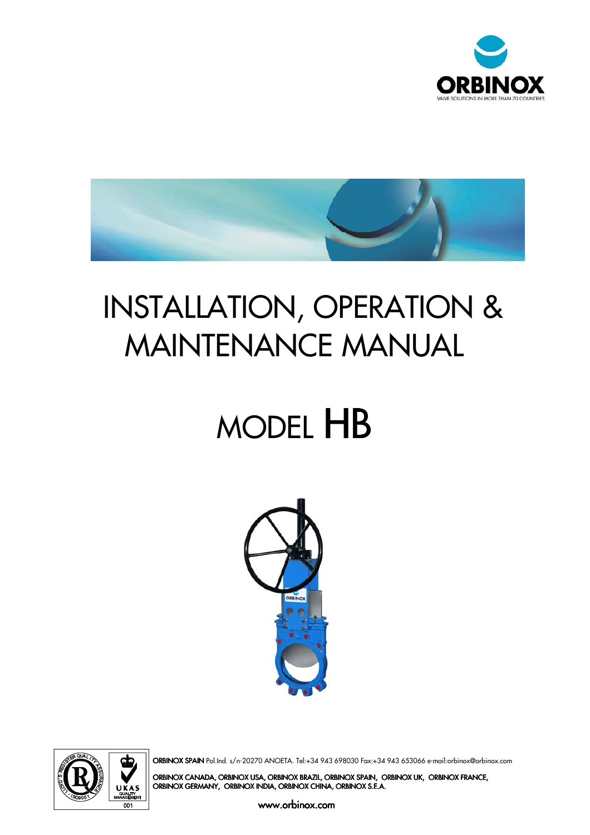



## INSTALLATION, OPERATION & MAINTENANCE MANUAL

# MODEL HB





ORBINOX SPAIN Pol.Ind. s/n-20270 ANOETA. Tel:+34 943 698030 Fax:+34 943 653066 e-mail:orbinox@orbinox.com

ORBINOX CANADA, ORBINOX USA, ORBINOX BRAZIL, ORBINOX SPAIN, ORBINOX UK, ORBINOX FRANCE, ORBINOX GERMANY, ORBINOX INDIA, ORBINOX CHINA, ORBINOX S.E.A.

www.orbinox.com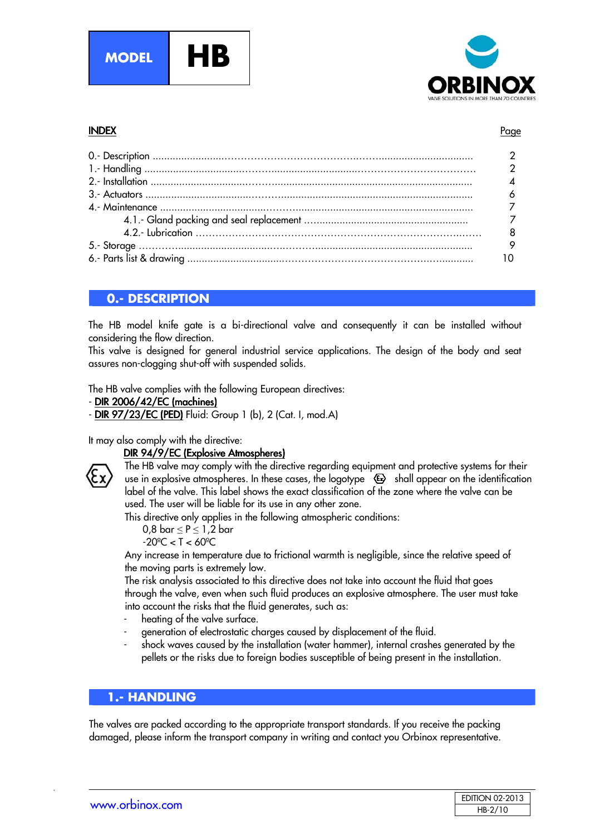



#### INDEX Page INDEX **Page International Page Index Page Index Page Index Page Index Page**

| 8 |
|---|
|   |
|   |

#### **0.- DESCRIPTION**

The HB model knife gate is a bi-directional valve and consequently it can be installed without considering the flow direction.

This valve is designed for general industrial service applications. The design of the body and seat assures non-clogging shut-off with suspended solids.

The HB valve complies with the following European directives:

- $-$  DIR 2006/42/EC (machines)
- **DIR 97/23/EC (PED)** Fluid: Group 1 (b), 2 (Cat. I, mod.A)

It may also comply with the directive:

#### DIR 94/9/EC (Explosive Atmospheres)



The HB valve may comply with the directive regarding equipment and protective systems for their use in explosive atmospheres. In these cases, the logotype  $\langle \mathbf{\mathfrak{S}} \rangle$  shall appear on the identification label of the valve. This label shows the exact classification of the zone where the valve can be used. The user will be liable for its use in any other zone.

This directive only applies in the following atmospheric conditions:

$$
0,8 \text{ bar} \le P \le 1,2 \text{ bar}
$$

 $-20^{\circ}$ C < T < 60 $^{\circ}$ C

Any increase in temperature due to frictional warmth is negligible, since the relative speed of the moving parts is extremely low.

The risk analysis associated to this directive does not take into account the fluid that goes through the valve, even when such fluid produces an explosive atmosphere. The user must take into account the risks that the fluid generates, such as:

- heating of the valve surface.
- generation of electrostatic charges caused by displacement of the fluid.
- shock waves caused by the installation (water hammer), internal crashes generated by the pellets or the risks due to foreign bodies susceptible of being present in the installation.

#### **1.- HANDLING**

The valves are packed according to the appropriate transport standards. If you receive the packing damaged, please inform the transport company in writing and contact you Orbinox representative.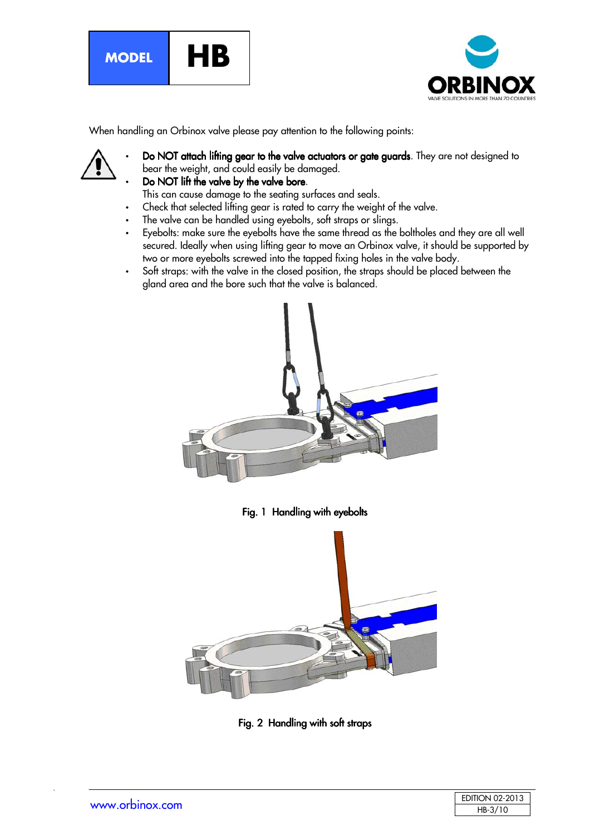



When handling an Orbinox valve please pay attention to the following points:

- Do NOT attach lifting gear to the valve actuators or gate guards. They are not designed to bear the weight, and could easily be damaged.
- Do NOT lift the valve by the valve bore.

This can cause damage to the seating surfaces and seals.

- Check that selected lifting gear is rated to carry the weight of the valve.
- The valve can be handled using eyebolts, soft straps or slings.
- Eyebolts: make sure the eyebolts have the same thread as the boltholes and they are all well secured. Ideally when using lifting gear to move an Orbinox valve, it should be supported by two or more eyebolts screwed into the tapped fixing holes in the valve body.
- Soft straps: with the valve in the closed position, the straps should be placed between the gland area and the bore such that the valve is balanced.



Fig. 1 Handling with eyebolts



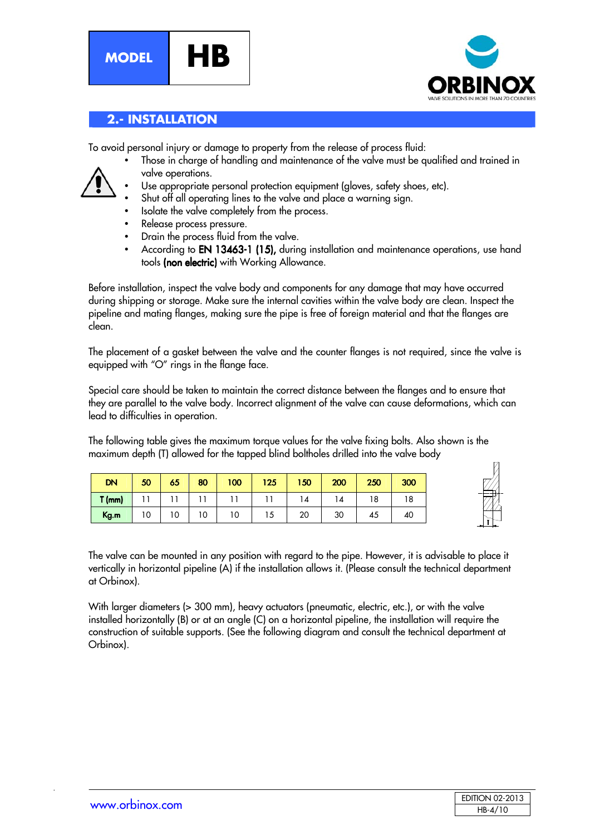**MODEL HB**





#### **2.- INSTALLATION**

To avoid personal injury or damage to property from the release of process fluid:

- Those in charge of handling and maintenance of the valve must be qualified and trained in valve operations.
- Use appropriate personal protection equipment (gloves, safety shoes, etc).
- Shut off all operating lines to the valve and place a warning sign.
	- Isolate the valve completely from the process.
	- Release process pressure.
- Drain the process fluid from the valve.
- According to EN 13463-1 (15), during installation and maintenance operations, use hand tools (non electric) with Working Allowance.

Before installation, inspect the valve body and components for any damage that may have occurred during shipping or storage. Make sure the internal cavities within the valve body are clean. Inspect the pipeline and mating flanges, making sure the pipe is free of foreign material and that the flanges are clean.

The placement of a gasket between the valve and the counter flanges is not required, since the valve is equipped with "O" rings in the flange face.

Special care should be taken to maintain the correct distance between the flanges and to ensure that they are parallel to the valve body. Incorrect alignment of the valve can cause deformations, which can lead to difficulties in operation.

The following table gives the maximum torque values for the valve fixing bolts. Also shown is the maximum depth (T) allowed for the tapped blind boltholes drilled into the valve body

| <b>DN</b> | 50 | 65 | 80 | 100 | 125 | 150 | 200            | 250 | 300 |
|-----------|----|----|----|-----|-----|-----|----------------|-----|-----|
| $T$ (mm)  |    |    |    |     |     | 4   | $\overline{4}$ | 18  | 18  |
| Kg.m      | 10 | 10 | 10 | 10  | ں ا | 20  | 30             | 45  | 40  |



The valve can be mounted in any position with regard to the pipe. However, it is advisable to place it vertically in horizontal pipeline (A) if the installation allows it. (Please consult the technical department at Orbinox).

With larger diameters (> 300 mm), heavy actuators (pneumatic, electric, etc.), or with the valve installed horizontally (B) or at an angle (C) on a horizontal pipeline, the installation will require the construction of suitable supports. (See the following diagram and consult the technical department at Orbinox).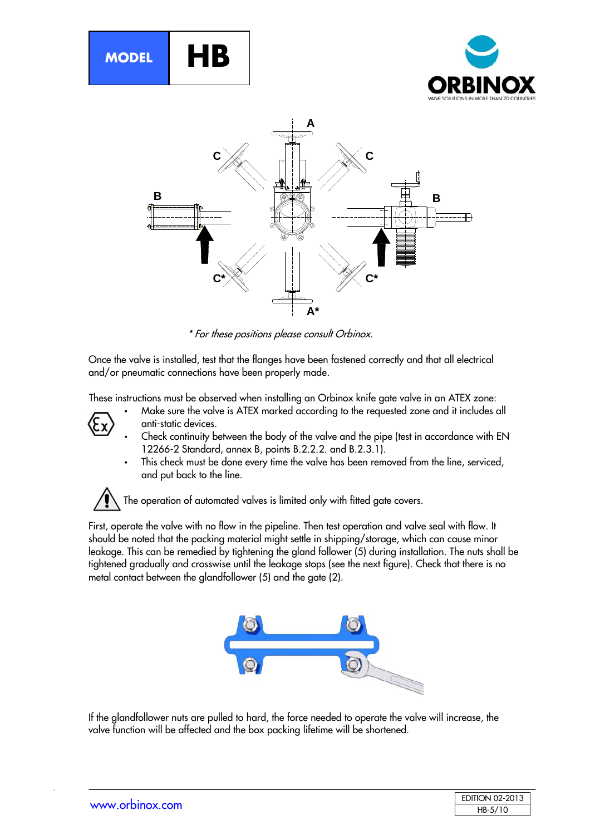





\* For these positions please consult Orbinox.

Once the valve is installed, test that the flanges have been fastened correctly and that all electrical and/or pneumatic connections have been properly made.

These instructions must be observed when installing an Orbinox knife gate valve in an ATEX zone:

- Make sure the valve is ATEX marked according to the requested zone and it includes all anti-static devices.
- 
- 
- Check continuity between the body of the valve and the pipe (test in accordance with EN 12266-2 Standard, annex B, points B.2.2.2. and B.2.3.1).
- This check must be done every time the valve has been removed from the line, serviced, and put back to the line.

The operation of automated valves is limited only with fitted gate covers.

First, operate the valve with no flow in the pipeline. Then test operation and valve seal with flow. It should be noted that the packing material might settle in shipping/storage, which can cause minor leakage. This can be remedied by tightening the gland follower (5) during installation. The nuts shall be tightened gradually and crosswise until the leakage stops (see the next figure). Check that there is no metal contact between the glandfollower (5) and the gate (2).



If the glandfollower nuts are pulled to hard, the force needed to operate the valve will increase, the valve function will be affected and the box packing lifetime will be shortened.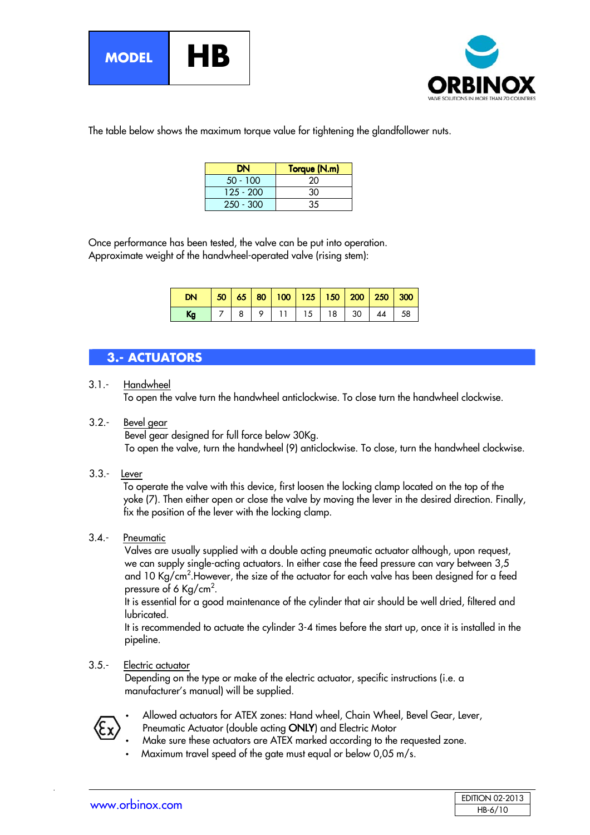



The table below shows the maximum torque value for tightening the glandfollower nuts.

| DΝ          | Torque (N.m) |
|-------------|--------------|
| $50 - 100$  | 20           |
| $125 - 200$ | 30           |
| $250 - 300$ | 35           |

Once performance has been tested, the valve can be put into operation. Approximate weight of the handwheel-operated valve (rising stem):

| DN   50   65   80   100   125   150   200   250   300 |  |                         |  |  |  |
|-------------------------------------------------------|--|-------------------------|--|--|--|
| Kg                                                    |  | 7 8 9 11 15 18 30 44 58 |  |  |  |

#### **3.- ACTUATORS**

3.1.- Handwheel

To open the valve turn the handwheel anticlockwise. To close turn the handwheel clockwise.

3.2.- Bevel gear

Bevel gear designed for full force below 30Kg. To open the valve, turn the handwheel (9) anticlockwise. To close, turn the handwheel clockwise.

3.3.- Lever

To operate the valve with this device, first loosen the locking clamp located on the top of the yoke (7). Then either open or close the valve by moving the lever in the desired direction. Finally, fix the position of the lever with the locking clamp.

#### 3.4.- Pneumatic

Valves are usually supplied with a double acting pneumatic actuator although, upon request, we can supply single-acting actuators. In either case the feed pressure can vary between 3,5 and 10 Kg/cm<sup>2</sup>.However, the size of the actuator for each valve has been designed for a feed pressure of 6 Kg/cm<sup>2</sup>.

It is essential for a good maintenance of the cylinder that air should be well dried, filtered and lubricated.

It is recommended to actuate the cylinder 3-4 times before the start up, once it is installed in the pipeline.

#### 3.5.- Electric actuator

Depending on the type or make of the electric actuator, specific instructions (i.e. a manufacturer's manual) will be supplied.



- Allowed actuators for ATEX zones: Hand wheel, Chain Wheel, Bevel Gear, Lever,
- Pneumatic Actuator (double acting ONLY) and Electric Motor
- Make sure these actuators are ATEX marked according to the requested zone.
- Maximum travel speed of the gate must equal or below 0,05 m/s.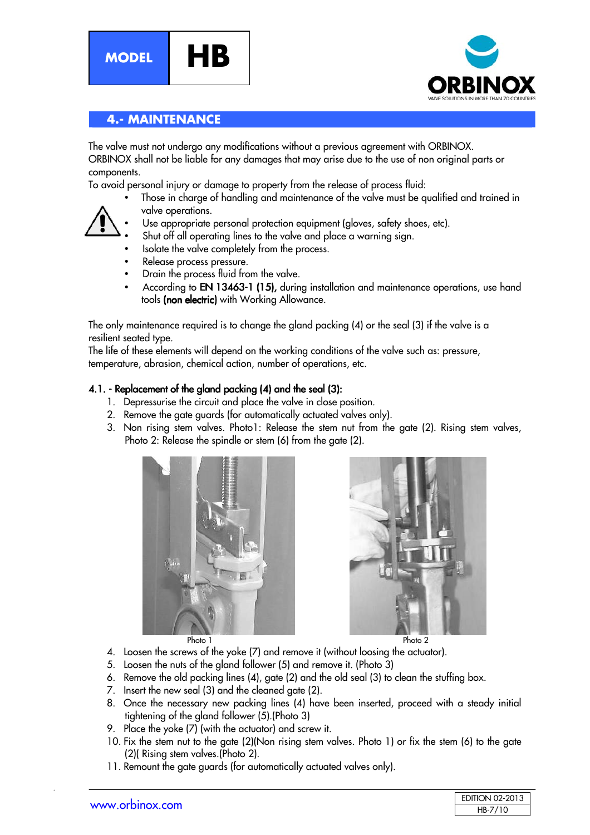





#### **4.- MAINTENANCE**

The valve must not undergo any modifications without a previous agreement with ORBINOX. ORBINOX shall not be liable for any damages that may arise due to the use of non original parts or components.

To avoid personal injury or damage to property from the release of process fluid:

• Those in charge of handling and maintenance of the valve must be qualified and trained in valve operations.



- Use appropriate personal protection equipment (gloves, safety shoes, etc).
- Shut off all operating lines to the valve and place a warning sign.
- Isolate the valve completely from the process.
- Release process pressure.
- Drain the process fluid from the valve.
- According to EN 13463-1 (15), during installation and maintenance operations, use hand tools (non electric) with Working Allowance.

The only maintenance required is to change the gland packing (4) or the seal (3) if the valve is a resilient seated type.

The life of these elements will depend on the working conditions of the valve such as: pressure, temperature, abrasion, chemical action, number of operations, etc.

#### 4.1. - Replacement of the aland packing (4) and the seal (3):

- 1. Depressurise the circuit and place the valve in close position.
- 2. Remove the gate guards (for automatically actuated valves only).
- 3. Non rising stem valves. Photo1: Release the stem nut from the gate (2). Rising stem valves, Photo 2: Release the spindle or stem (6) from the gate (2).





- 4. Loosen the screws of the yoke (7) and remove it (without loosing the actuator).
- 5. Loosen the nuts of the gland follower (5) and remove it. (Photo 3)
- 6. Remove the old packing lines (4), gate (2) and the old seal (3) to clean the stuffing box.
- 7. Insert the new seal (3) and the cleaned gate (2).
- 8. Once the necessary new packing lines (4) have been inserted, proceed with a steady initial tightening of the gland follower (5).(Photo 3)
- 9. Place the yoke (7) (with the actuator) and screw it.
- 10. Fix the stem nut to the gate (2)(Non rising stem valves. Photo 1) or fix the stem (6) to the gate (2)( Rising stem valves.(Photo 2).
- 11. Remount the gate guards (for automatically actuated valves only).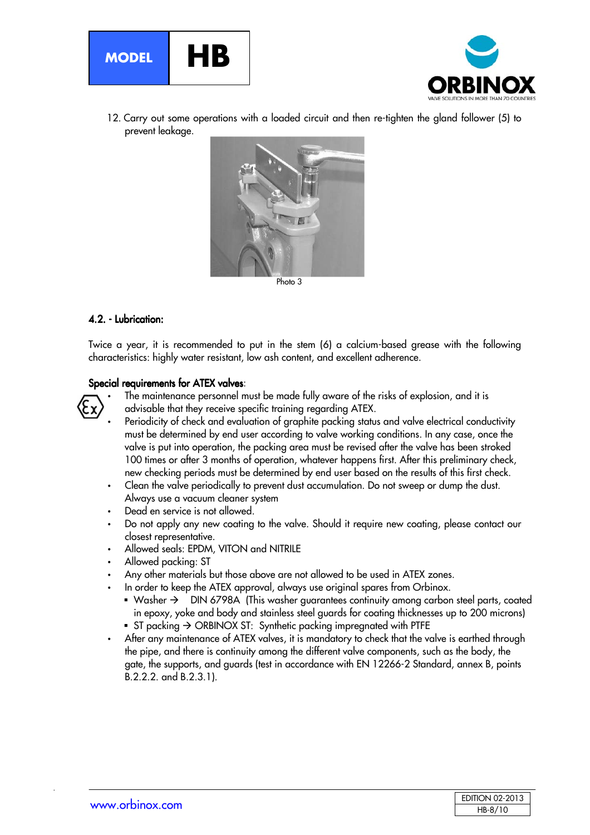



12. Carry out some operations with a loaded circuit and then re-tighten the gland follower (5) to prevent leakage.



4.2. - Lubrication:

Twice a year, it is recommended to put in the stem (6) a calcium-based grease with the following characteristics: highly water resistant, low ash content, and excellent adherence.

#### Special requirements for ATEX valves:



• The maintenance personnel must be made fully aware of the risks of explosion, and it is advisable that they receive specific training regarding ATEX.

- Periodicity of check and evaluation of graphite packing status and valve electrical conductivity must be determined by end user according to valve working conditions. In any case, once the valve is put into operation, the packing area must be revised after the valve has been stroked 100 times or after 3 months of operation, whatever happens first. After this preliminary check, new checking periods must be determined by end user based on the results of this first check.
- Clean the valve periodically to prevent dust accumulation. Do not sweep or dump the dust. Always use a vacuum cleaner system
- Dead en service is not allowed.
- Do not apply any new coating to the valve. Should it require new coating, please contact our closest representative.
- Allowed seals: EPDM, VITON and NITRILE
- Allowed packing: ST
- Any other materials but those above are not allowed to be used in ATEX zones.
- In order to keep the ATEX approval, always use original spares from Orbinox.
	- Washer  $\rightarrow$  DIN 6798A (This washer guarantees continuity among carbon steel parts, coated in epoxy, yoke and body and stainless steel guards for coating thicknesses up to 200 microns) ST packing  $\rightarrow$  ORBINOX ST: Synthetic packing impregnated with PTFE
- After any maintenance of ATEX valves, it is mandatory to check that the valve is earthed through the pipe, and there is continuity among the different valve components, such as the body, the gate, the supports, and guards (test in accordance with EN 12266-2 Standard, annex B, points B.2.2.2. and B.2.3.1).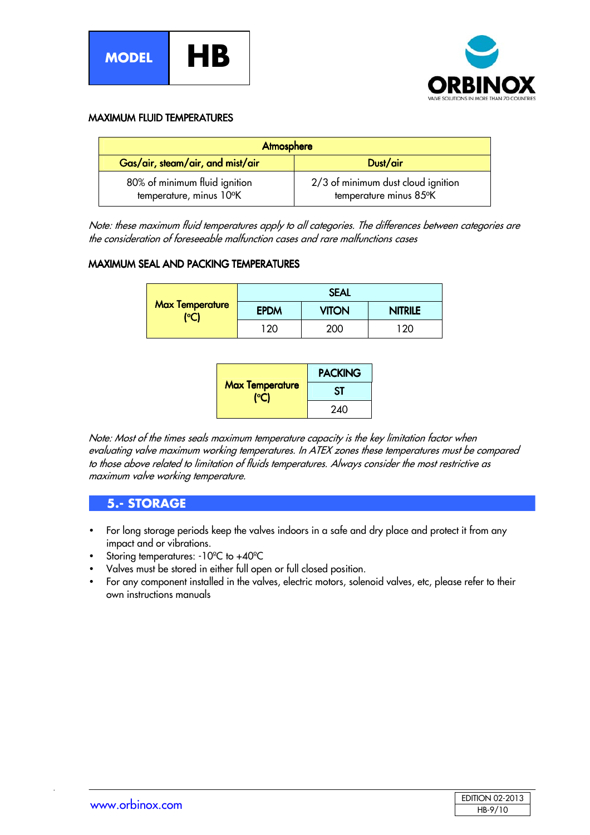



#### MAXIMUM FLUID TEMPERATURES

| Atmosphere                                               |                                                              |  |  |  |
|----------------------------------------------------------|--------------------------------------------------------------|--|--|--|
| Gas/air, steam/air, and mist/air                         | Dust/air                                                     |  |  |  |
| 80% of minimum fluid ignition<br>temperature, minus 10°K | 2/3 of minimum dust cloud ignition<br>temperature minus 85°K |  |  |  |

Note: these maximum fluid temperatures apply to all categories. The differences between categories are the consideration of foreseeable malfunction cases and rare malfunctions cases

#### MAXIMUM SEAL AND PACKING TEMPERATURES

|                                | <b>SEAL</b> |              |                |  |  |
|--------------------------------|-------------|--------------|----------------|--|--|
| <b>Max Temperature</b><br>(°C) | <b>EPDM</b> | <b>VITON</b> | <b>NITRILE</b> |  |  |
|                                | $120 -$     | 200          | 120            |  |  |

| <b>Max Temperature</b> | <b>PACKING</b> |  |
|------------------------|----------------|--|
|                        | SΤ             |  |
|                        | 240            |  |

Note: Most of the times seals maximum temperature capacity is the key limitation factor when evaluating valve maximum working temperatures. In ATEX zones these temperatures must be compared to those above related to limitation of fluids temperatures. Always consider the most restrictive as maximum valve working temperature.

#### **5.- STORAGE**

- For long storage periods keep the valves indoors in a safe and dry place and protect it from any impact and or vibrations.
- Storing temperatures: -10ºC to +40ºC
- Valves must be stored in either full open or full closed position.
- For any component installed in the valves, electric motors, solenoid valves, etc, please refer to their own instructions manuals